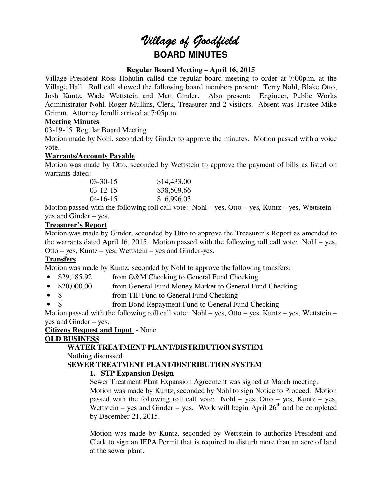# *Village of Goodfield* **BOARD MINUTES**

## **Regular Board Meeting – April 16, 2015**

Village President Ross Hohulin called the regular board meeting to order at 7:00p.m. at the Village Hall. Roll call showed the following board members present: Terry Nohl, Blake Otto, Josh Kuntz, Wade Wettstein and Matt Ginder. Also present: Engineer, Public Works Administrator Nohl, Roger Mullins, Clerk, Treasurer and 2 visitors. Absent was Trustee Mike Grimm. Attorney Ierulli arrived at 7:05p.m.

# **Meeting Minutes**

03-19-15 Regular Board Meeting

Motion made by Nohl, seconded by Ginder to approve the minutes. Motion passed with a voice vote.

# **Warrants/Accounts Payable**

Motion was made by Otto, seconded by Wettstein to approve the payment of bills as listed on warrants dated:

| $03 - 30 - 15$ | \$14,433.00 |
|----------------|-------------|
| $03 - 12 - 15$ | \$38,509.66 |
| $04 - 16 - 15$ | \$6,996.03  |

Motion passed with the following roll call vote: Nohl – yes, Otto – yes, Kuntz – yes, Wettstein – yes and Ginder – yes.

#### **Treasurer's Report**

Motion was made by Ginder, seconded by Otto to approve the Treasurer's Report as amended to the warrants dated April 16, 2015. Motion passed with the following roll call vote: Nohl – yes, Otto – yes, Kuntz – yes, Wettstein – yes and Ginder-yes.

# **Transfers**

Motion was made by Kuntz, seconded by Nohl to approve the following transfers:

- \$29,185.92 from O&M Checking to General Fund Checking
- \$20,000.00 from General Fund Money Market to General Fund Checking
- \$ from TIF Fund to General Fund Checking
- \$ from Bond Repayment Fund to General Fund Checking

Motion passed with the following roll call vote: Nohl – yes, Otto – yes, Kuntz – yes, Wettstein – yes and Ginder – yes.

# **Citizens Request and Input** - None.

# **OLD BUSINESS**

# **WATER TREATMENT PLANT/DISTRIBUTION SYSTEM**

Nothing discussed.

# **SEWER TREATMENT PLANT/DISTRIBUTION SYSTEM**

# **1. STP Expansion Design**

Sewer Treatment Plant Expansion Agreement was signed at March meeting.

Motion was made by Kuntz, seconded by Nohl to sign Notice to Proceed. Motion passed with the following roll call vote: Nohl – yes, Otto – yes, Kuntz – yes, Wettstein – yes and Ginder – yes. Work will begin April  $26<sup>th</sup>$  and be completed by December 21, 2015.

Motion was made by Kuntz, seconded by Wettstein to authorize President and Clerk to sign an IEPA Permit that is required to disturb more than an acre of land at the sewer plant.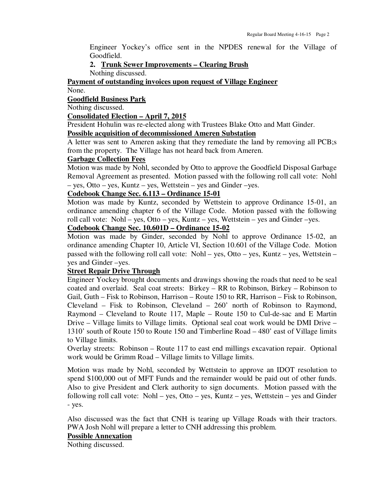Engineer Yockey's office sent in the NPDES renewal for the Village of Goodfield.

# **2. Trunk Sewer Improvements – Clearing Brush**

Nothing discussed.

# **Payment of outstanding invoices upon request of Village Engineer**

# None.

# **Goodfield Business Park**

Nothing discussed.

#### **Consolidated Election – April 7, 2015**

President Hohulin was re-elected along with Trustees Blake Otto and Matt Ginder.

# **Possible acquisition of decommissioned Ameren Substation**

A letter was sent to Ameren asking that they remediate the land by removing all PCB;s from the property. The Village has not heard back from Ameren.

#### **Garbage Collection Fees**

Motion was made by Nohl, seconded by Otto to approve the Goodfield Disposal Garbage Removal Agreement as presented. Motion passed with the following roll call vote: Nohl – yes, Otto – yes, Kuntz – yes, Wettstein – yes and Ginder –yes.

## **Codebook Change Sec. 6.113 – Ordinance 15-01**

Motion was made by Kuntz, seconded by Wettstein to approve Ordinance 15-01, an ordinance amending chapter 6 of the Village Code. Motion passed with the following roll call vote: Nohl – yes, Otto – yes, Kuntz – yes, Wettstein – yes and Ginder –yes.

# **Codebook Change Sec. 10.601D – Ordinance 15-02**

Motion was made by Ginder, seconded by Nohl to approve Ordinance 15-02, an ordinance amending Chapter 10, Article VI, Section 10.601 of the Village Code. Motion passed with the following roll call vote: Nohl – yes, Otto – yes, Kuntz – yes, Wettstein – yes and Ginder –yes.

# **Street Repair Drive Through**

Engineer Yockey brought documents and drawings showing the roads that need to be seal coated and overlaid. Seal coat streets: Birkey – RR to Robinson, Birkey – Robinson to Gail, Guth – Fisk to Robinson, Harrison – Route 150 to RR, Harrison – Fisk to Robinson, Cleveland – Fisk to Robinson, Cleveland – 260' north of Robinson to Raymond, Raymond – Cleveland to Route 117, Maple – Route 150 to Cul-de-sac and E Martin Drive – Village limits to Village limits. Optional seal coat work would be DMI Drive – 1310' south of Route 150 to Route 150 and Timberline Road – 480' east of Village limits to Village limits.

Overlay streets: Robinson – Route 117 to east end millings excavation repair. Optional work would be Grimm Road – Village limits to Village limits.

Motion was made by Nohl, seconded by Wettstein to approve an IDOT resolution to spend \$100,000 out of MFT Funds and the remainder would be paid out of other funds. Also to give President and Clerk authority to sign documents. Motion passed with the following roll call vote: Nohl – yes, Otto – yes, Kuntz – yes, Wettstein – yes and Ginder - yes.

Also discussed was the fact that CNH is tearing up Village Roads with their tractors. PWA Josh Nohl will prepare a letter to CNH addressing this problem.

# **Possible Annexation**

Nothing discussed.